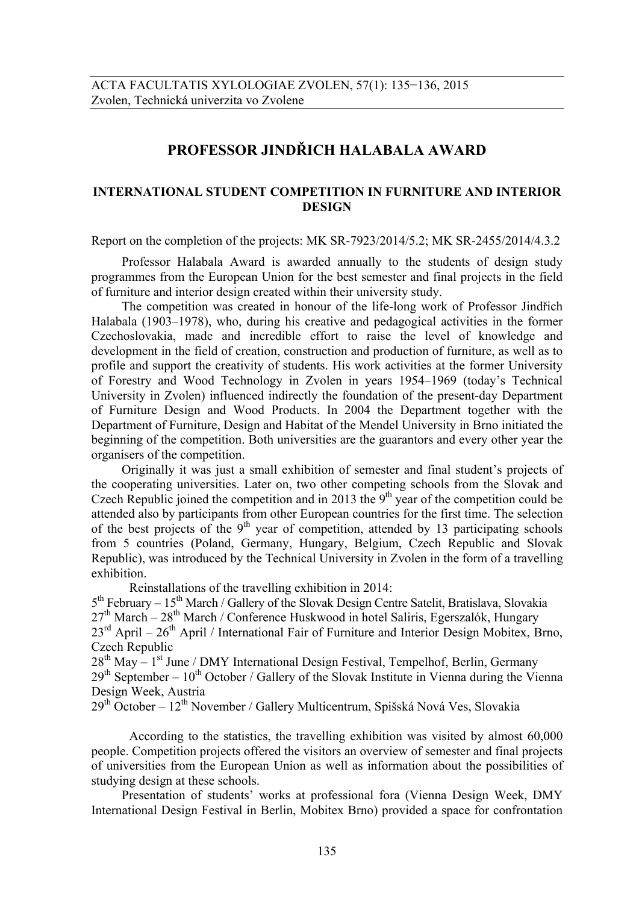## **PROFESSOR JINDŘICH HALABALA AWARD**

## **INTERNATIONAL STUDENT COMPETITION IN FURNITURE AND INTERIOR DESIGN**

Report on the completion of the projects: MK SR-7923/2014/5.2; MK SR-2455/2014/4.3.2

Professor Halabala Award is awarded annually to the students of design study programmes from the European Union for the best semester and final projects in the field of furniture and interior design created within their university study.

The competition was created in honour of the life-long work of Professor Jindřich Halabala (1903–1978), who, during his creative and pedagogical activities in the former Czechoslovakia, made and incredible effort to raise the level of knowledge and development in the field of creation, construction and production of furniture, as well as to profile and support the creativity of students. His work activities at the former University of Forestry and Wood Technology in Zvolen in years 1954–1969 (today's Technical University in Zvolen) influenced indirectly the foundation of the present-day Department of Furniture Design and Wood Products. In 2004 the Department together with the Department of Furniture, Design and Habitat of the Mendel University in Brno initiated the beginning of the competition. Both universities are the guarantors and every other year the organisers of the competition.

Originally it was just a small exhibition of semester and final student's projects of the cooperating universities. Later on, two other competing schools from the Slovak and Czech Republic joined the competition and in 2013 the  $9<sup>th</sup>$  year of the competition could be attended also by participants from other European countries for the first time. The selection of the best projects of the  $9<sup>th</sup>$  year of competition, attended by 13 participating schools from 5 countries (Poland, Germany, Hungary, Belgium, Czech Republic and Slovak Republic), was introduced by the Technical University in Zvolen in the form of a travelling exhibition.

Reinstallations of the travelling exhibition in 2014:

 $5<sup>th</sup>$  February –  $15<sup>th</sup>$  March / Gallery of the Slovak Design Centre Satelit, Bratislava, Slovakia  $27<sup>th</sup> March - 28<sup>th</sup> March / Conference Huskwood in hotel Saliris, Egerszalók, Hungarv$  $23<sup>rd</sup>$  April –  $26<sup>th</sup>$  April / International Fair of Furniture and Interior Design Mobitex, Brno, Czech Republic

 $28<sup>th</sup>$  May –  $1<sup>st</sup>$  June / DMY International Design Festival, Tempelhof, Berlin, Germany  $29<sup>th</sup>$  September –  $10<sup>th</sup>$  October / Gallery of the Slovak Institute in Vienna during the Vienna Design Week, Austria

29th October – 12th November / Gallery Multicentrum, Spišská Nová Ves, Slovakia

According to the statistics, the travelling exhibition was visited by almost 60,000 people. Competition projects offered the visitors an overview of semester and final projects of universities from the European Union as well as information about the possibilities of studying design at these schools.

Presentation of students' works at professional fora (Vienna Design Week, DMY International Design Festival in Berlin, Mobitex Brno) provided a space for confrontation